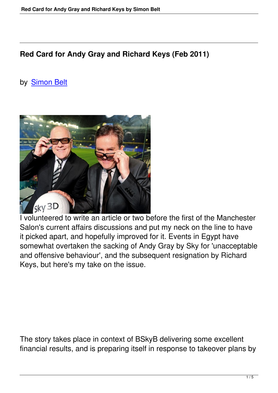## **Red Card for Andy Gray and Richard Keys (Feb 2011)**

## by Simon Belt



I volunteered to write an article or two before the first of the Manchester Salon's current affairs discussions and put my neck on the line to have it picked apart, and hopefully improved for it. Events in Egypt have somewhat overtaken the sacking of Andy Gray by Sky for 'unacceptable and offensive behaviour', and the subsequent resignation by Richard Keys, but here's my take on the issue.

The story takes place in context of BSkyB delivering some excellent financial results, and is preparing itself in response to takeover plans by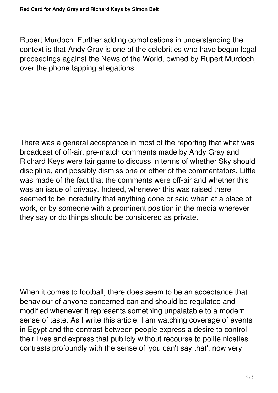Rupert Murdoch. Further adding complications in understanding the context is that Andy Gray is one of the celebrities who have begun legal proceedings against the News of the World, owned by Rupert Murdoch, over the phone tapping allegations.

There was a general acceptance in most of the reporting that what was broadcast of off-air, pre-match comments made by Andy Gray and Richard Keys were fair game to discuss in terms of whether Sky should discipline, and possibly dismiss one or other of the commentators. Little was made of the fact that the comments were off-air and whether this was an issue of privacy. Indeed, whenever this was raised there seemed to be incredulity that anything done or said when at a place of work, or by someone with a prominent position in the media wherever they say or do things should be considered as private.

When it comes to football, there does seem to be an acceptance that behaviour of anyone concerned can and should be regulated and modified whenever it represents something unpalatable to a modern sense of taste. As I write this article, I am watching coverage of events in Egypt and the contrast between people express a desire to control their lives and express that publicly without recourse to polite niceties contrasts profoundly with the sense of 'you can't say that', now very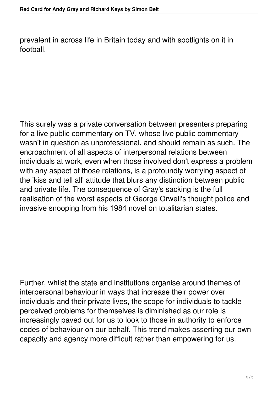prevalent in across life in Britain today and with spotlights on it in football.

This surely was a private conversation between presenters preparing for a live public commentary on TV, whose live public commentary wasn't in question as unprofessional, and should remain as such. The encroachment of all aspects of interpersonal relations between individuals at work, even when those involved don't express a problem with any aspect of those relations, is a profoundly worrying aspect of the 'kiss and tell all' attitude that blurs any distinction between public and private life. The consequence of Gray's sacking is the full realisation of the worst aspects of George Orwell's thought police and invasive snooping from his 1984 novel on totalitarian states.

Further, whilst the state and institutions organise around themes of interpersonal behaviour in ways that increase their power over individuals and their private lives, the scope for individuals to tackle perceived problems for themselves is diminished as our role is increasingly paved out for us to look to those in authority to enforce codes of behaviour on our behalf. This trend makes asserting our own capacity and agency more difficult rather than empowering for us.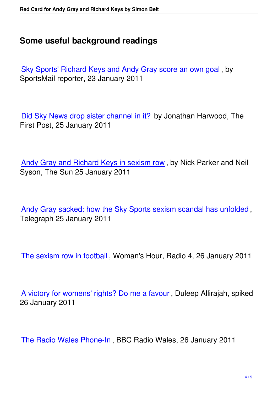## **Some useful background readings**

Sky Sports' Richard Keys and Andy Gray score an own goal , by SportsMail reporter, 23 January 2011

Did Sky News drop sister channel in it? by Jonathan Harwood, The First Post, 25 January 2011

Andy Gray and Richard Keys in sexism row , by Nick Parker and Neil Syson, The Sun 25 January 2011

Andy Gray sacked: how the Sky Sports sexism scandal has unfolded , Telegraph 25 January 2011

The sexism row in football , Woman's Hour, Radio 4, 26 January 2011

A victory for womens' rights? Do me a favour , Duleep Allirajah, spiked 26 January 2011

The Radio Wales Phone-In , BBC Radio Wales, 26 January 2011